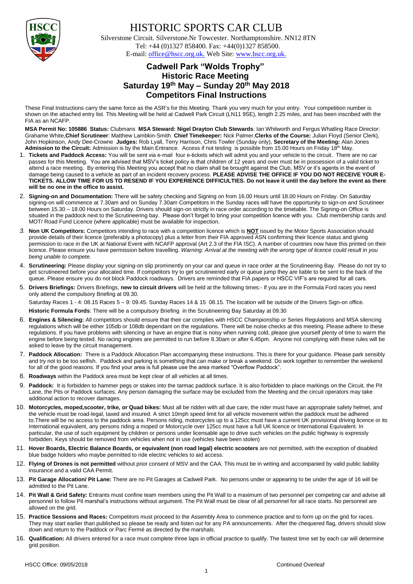

## HISTORIC SPORTS CAR CLUB

 Silverstone Circuit. Silverstone.Nr Towcester. Northamptonshire. NN12 8TN Tel: +44 (0)1327 858400. Fax: +44(0)1327 858500. E-mail: office@hscc.org.uk. Web Site: www.hscc.org.uk.

## **Cadwell Park "Wolds Trophy" Historic Race Meeting Saturday 19 th May – Sunday 20th May 2018 Competitors Final Instructions**

These Final Instructions carry the same force as the ASR's for this Meeting. Thank you very much for your entry. Your competition number is shown on the attached entry list. This Meeting will be held at Cadwell Park Circuit (LN11 9SE), length 2.25 miles, and has been inscribed with the FIA as an NCAFP.

**MSA Permit No: 105886 Status:** Clubmans **MSA Steward: Nigel Drayton Club Stewards**: Ian Whitworth and Fergus Whatling Race Director: Grahame White,**Chief Scrutineer**: Matthew Lambkin-Smith **Chief Timekeeper:** Nick Palmer,**Clerks of the Course:** Julian Floyd (Senior Clerk), John Hopkinson, Andy Dee-Crowne **Judges:** Rob Lyall, Terry Harrison, Chris Towler (Sunday only), **Secretary of the Meeting:** Alan Jones Admission to the Circuit: Admission is by the Main Entrance. Access if not testing is possible from 15.00 Hours on Friday 18<sup>th</sup> May.

- 1. **Tickets and Paddock Access:** You will be sent via e-mail four e-tickets which will admit you and your vehicle to the circuit. There are no car passes for this Meeting. You are advised that MSV's ticket policy is that children of 12 years and over must be in possession of a valid ticket to attend a race meeting. By entering this Meeting you accept that no claim shall be brought against the Club, MSV or it's agents in the event of damage being caused to a vehicle as part of an incident recovery process. PLEASE ADVISE THE OFFICE IF YOU DO NOT RECEIVE YOUR E-**TICKETS. ALLOW TIME FOR US TO RESEND IF YOU EXPERIENCE DIFFICULTIES. Do not leave it until the day before the event as there will be no one in the office to assist.**
- 2. **Signing-on and Documentation:** There will be safety checking and Signing on from 16.00 Hours until 18.00 Hours on Friday. On Saturday signing-on will commence at 7.30am and on Sunday 7.30am Competitors in the Sunday races will have the opportunity to sign-on and Scrutineer between 15.30 – 18.00 Hours on Saturday. Drivers should sign-on strictly in race order according to the timetable. The Signing-on Office is situated in the paddock next to the Scrutineering bay. Please don't forget to bring your competition licence with you. Club membership cards and MOT/ Road Fund Licence (where applicable) must be available for inspection.
- *3.* **Non UK Competitors:** Competitors intending to race with a competition licence which is **NOT** issued by the Motor Sports Association should provide details of their licence (preferably a photocopy) plus a letter from their FIA approved ASN confirming their licence status and giving permission to race in the UK at National Event with NCAFP approval (Art 2.3 of the FIA ISC). A number of countries now have this printed on their licence. Please ensure you have permission before travelling. *Warning: Arrival at the meeting with the wrong type of licence could result in you being unable to compete.*
- 4. **Scrutineering:** Please display your signing-on slip prominently on your car and queue in race order at the Scrutineering Bay. Please do not try to get scrutineered before your allocated time. If competitors try to get scrutineered early or queue jump they are liable to be sent to the back of the queue. Please ensure you do not block Paddock roadways. Drivers are reminded that FIA papers or HSCC VIF's are required for all cars.
- 5. **Drivers Briefings:** Drivers Briefings, **new to circuit drivers** will be held at the following times:- If you are in the Formula Ford races you need only attend the compulsory Briefing at 09.30.

Saturday Races 1 - 4: 08.15 Races 5 – 9: 09.45. Sunday Races 14 & 15 08.15. The location will be outside of the Drivers Sign-on office.

**Historic Formula Fords**: There will be a compulsory Briefing in the Scrutineering Bay Saturday at 09.30

- 6. **Engines & Silencing:** All competitors should ensure that their car complies with HSCC Championship or Series Regulations and MSA silencing regulations which will be either 105db or 108db dependant on the regulations. There will be noise checks at this meeting. Please adhere to these regulations. If you have problems with silencing or have an engine that is noisy when running cold, please give yourself plenty of time to warm the engine before being tested. No racing engines are permitted to run before 8.30am or after 6.45pm. Anyone not complying with these rules will be asked to leave by the circuit management.
- 7. **Paddock Allocation:** There is a Paddock Allocation Plan accompanying these instructions. This is there for your guidance. Please park sensibly and try not to be too selfish. Paddock and parking is something that can make or break a weekend. Do work together to remember the weekend for all of the good reasons. If you find your area is full please use the area marked "Overflow Paddock".
- 8. **Roadways** within the Paddock area must be kept clear of all vehicles at all times.
- Paddock: It is forbidden to hammer pegs or stakes into the tarmac paddock surface. It is also forbidden to place markings on the Circuit, the Pit Lane, the Pits or Paddock surfaces. Any person damaging the surface may be excluded from the Meeting and the circuit operators may take additional action to recover damages.
- 10. **Motorcycles, moped,scooter, trike, or Quad bikes:** Must all be ridden with all due care, the rider must have an appropriate safety helmet, and the vehicle must be road-legal, taxed and insured. A strict 10mph speed limit for all vehicle movement within the paddock must be adhered to.There will be no access to the paddock area. Persons riding, motorcycles up to a 125cc must have a current UK provisional driving licence or its International equivalent, any persons riding a moped or Motorcycle over 125cc must have a full UK licence or International Equivalent. In particular, the use of such equipment by children or persons under licensable age to drive such vehicles on the public highway is expressly forbidden. Keys should be removed from vehicles when not in use (vehicles have been stolen)
- 11. **Hover Boards, Electric Balance Boards, or equivalent (non road legal) electric scooters** are not permitted, with the exception of disabled blue badge holders who maybe permitted to ride electric vehicles to aid access.
- 12. **Flying of Drones is not permitted** without prior consent of MSV and the CAA. This must be in writing and accompanied by valid public liability insurance and a valid CAA Permit.
- 13. **Pit Garage Allocation/ Pit Lane:** There are no Pit Garages at Cadwell Park. No persons under or appearing to be under the age of 16 will be admitted to the Pit Lane.
- 14. **Pit Wall & Grid Safety:** Entrants must confine team members using the Pit Wall to a maximum of two personnel per competing car and advise all personnel to follow Pit marshal's instructions without argument. The Pit Wall must be clear of all personnel for all race starts. No personnel are allowed on the grid.
- 15. **Practice Sessions and Races:** Competitors must proceed to the Assembly Area to commence practice and to form up on the grid for races. They may start earlier than published so please be ready and listen out for any PA announcements. After the chequered flag, drivers should slow down and return to the Paddock or Parc Fermé as directed by the marshals.
- 16. **Qualification:** All drivers entered for a race must complete three laps in official practice to qualify. The fastest time set by each car will determine grid position.